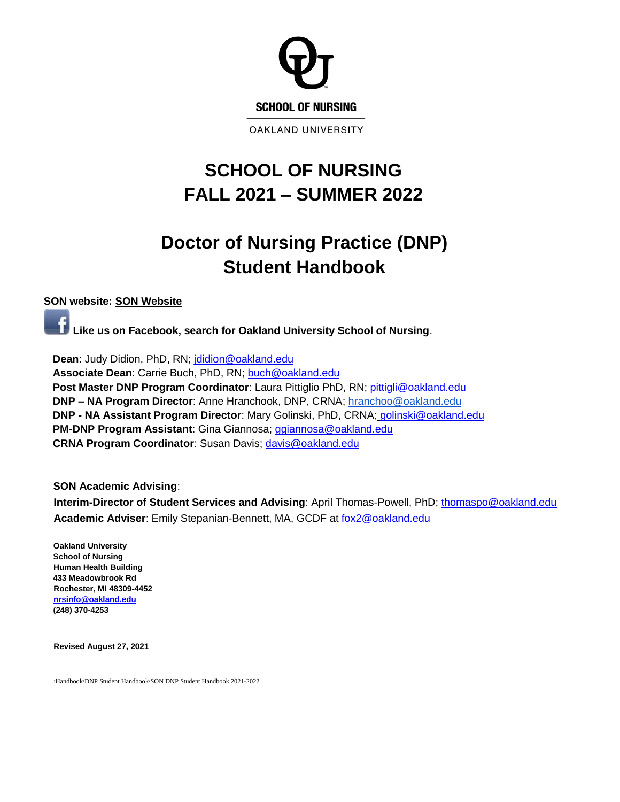

**OAKLAND UNIVERSITY** 

# **SCHOOL OF NURSING FALL 2021 – SUMMER 2022**

# **Doctor of Nursing Practice (DNP) Student Handbook**

### **SON website: [SON Website](https://www.oakland.edu/nursing/)**

**Like us on Facebook, search for Oakland University School of Nursing**.

**Dean**: Judy Didion, PhD, RN; [jdidion@oakland.edu](mailto:jdidion@oakland.edu) **Associate Dean**: Carrie Buch, PhD, RN; [buch@oakland.edu](mailto:buch@oakland.edu) **Post Master DNP Program Coordinator**: Laura Pittiglio PhD, RN[;](mailto:pittigli@oakland.edu) [pittigli@oakland.edu](mailto:pittigli@oakland.edu) **DNP – NA Program Director**: Anne Hranchook, DNP, CRNA; [hranchoo@oakland.edu](mailto:hranchoo@oakland.edu) **DNP - NA Assistant Program Director**: Mary Golinski, PhD, CRNA; [golinski@oakland.edu](mailto:golinski@oakland.edu) **PM-DNP Program Assistant**: Gina Giannosa; [ggiannosa@oakland.edu](file:///C:/Users/buch/Downloads/ggiannosa@oakland.edu) **CRNA Program Coordinator**: Susan Davis; [davis@oakland.edu](file:///C:/Users/drumley/Downloads/davis@oakland.edu)

#### **SON Academic Advising**:

**Interim-Director of Student Services and Advising**: April Thomas-Powell, PhD; [thomaspo@oakland.edu](mailto:thomaspo@oakland.edu) **Academic Adviser**: Emily Stepanian-Bennett, MA, GCDF at [fox2@oakland.edu](mailto:fox2@oakland.edu)

**Oakland University School of Nursing Human Health Building 433 Meadowbrook Rd Rochester, MI 48309-4452 [nrsinfo@oakland.edu](mailto:nrsinfo@oakland.edu) (248) 370-4253** 

**Revised August 27, 2021**

:Handbook\DNP Student Handbook\SON DNP Student Handbook 2021-2022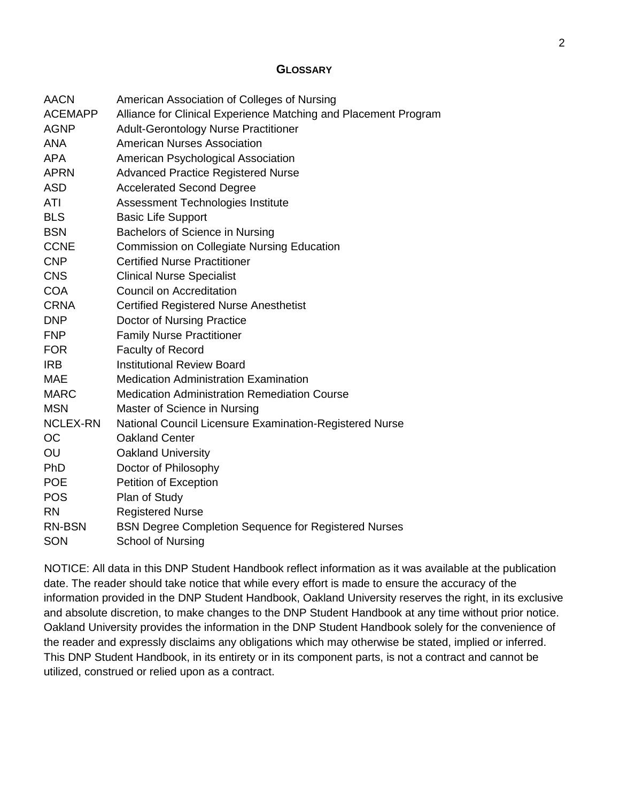### <span id="page-1-0"></span>**G[LOSSARY](#page-3-0)**

| <b>AACN</b>     | American Association of Colleges of Nursing                     |
|-----------------|-----------------------------------------------------------------|
| <b>ACEMAPP</b>  | Alliance for Clinical Experience Matching and Placement Program |
| <b>AGNP</b>     | <b>Adult-Gerontology Nurse Practitioner</b>                     |
| <b>ANA</b>      | <b>American Nurses Association</b>                              |
| <b>APA</b>      | American Psychological Association                              |
| <b>APRN</b>     | <b>Advanced Practice Registered Nurse</b>                       |
| <b>ASD</b>      | <b>Accelerated Second Degree</b>                                |
| ATI             | Assessment Technologies Institute                               |
| <b>BLS</b>      | <b>Basic Life Support</b>                                       |
| <b>BSN</b>      | Bachelors of Science in Nursing                                 |
| <b>CCNE</b>     | <b>Commission on Collegiate Nursing Education</b>               |
| <b>CNP</b>      | <b>Certified Nurse Practitioner</b>                             |
| <b>CNS</b>      | <b>Clinical Nurse Specialist</b>                                |
| <b>COA</b>      | <b>Council on Accreditation</b>                                 |
| <b>CRNA</b>     | <b>Certified Registered Nurse Anesthetist</b>                   |
| <b>DNP</b>      | Doctor of Nursing Practice                                      |
| <b>FNP</b>      | <b>Family Nurse Practitioner</b>                                |
| <b>FOR</b>      | <b>Faculty of Record</b>                                        |
| <b>IRB</b>      | <b>Institutional Review Board</b>                               |
| <b>MAE</b>      | <b>Medication Administration Examination</b>                    |
| <b>MARC</b>     | <b>Medication Administration Remediation Course</b>             |
| <b>MSN</b>      | Master of Science in Nursing                                    |
| <b>NCLEX-RN</b> | National Council Licensure Examination-Registered Nurse         |
| <b>OC</b>       | <b>Oakland Center</b>                                           |
| OU              | <b>Oakland University</b>                                       |
| <b>PhD</b>      | Doctor of Philosophy                                            |
| <b>POE</b>      | Petition of Exception                                           |
| <b>POS</b>      | Plan of Study                                                   |
| <b>RN</b>       | <b>Registered Nurse</b>                                         |
| RN-BSN          | <b>BSN Degree Completion Sequence for Registered Nurses</b>     |
| SON             | <b>School of Nursing</b>                                        |

NOTICE: All data in this DNP Student Handbook reflect information as it was available at the publication date. The reader should take notice that while every effort is made to ensure the accuracy of the information provided in the DNP Student Handbook, Oakland University reserves the right, in its exclusive and absolute discretion, to make changes to the DNP Student Handbook at any time without prior notice. Oakland University provides the information in the DNP Student Handbook solely for the convenience of the reader and expressly disclaims any obligations which may otherwise be stated, implied or inferred. This DNP Student Handbook, in its entirety or in its component parts, is not a contract and cannot be utilized, construed or relied upon as a contract.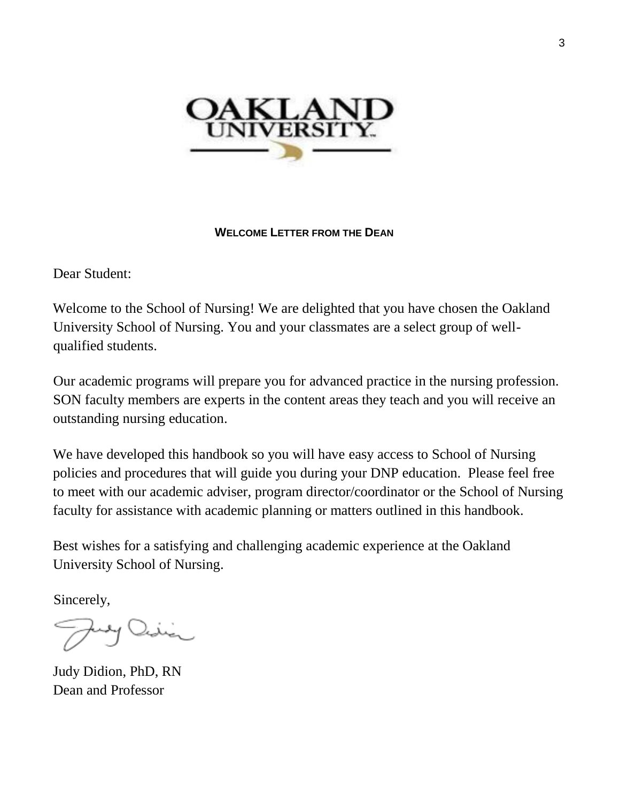

### <span id="page-2-0"></span>**WELCOME L[ETTER FROM THE](#page-2-0) DEAN**

Dear Student:

Welcome to the School of Nursing! We are delighted that you have chosen the Oakland University School of Nursing. You and your classmates are a select group of wellqualified students.

Our academic programs will prepare you for advanced practice in the nursing profession. SON faculty members are experts in the content areas they teach and you will receive an outstanding nursing education.

We have developed this handbook so you will have easy access to School of Nursing policies and procedures that will guide you during your DNP education. Please feel free to meet with our academic adviser, program director/coordinator or the School of Nursing faculty for assistance with academic planning or matters outlined in this handbook.

Best wishes for a satisfying and challenging academic experience at the Oakland University School of Nursing.

Sincerely,

Judy Didion, PhD, RN Dean and Professor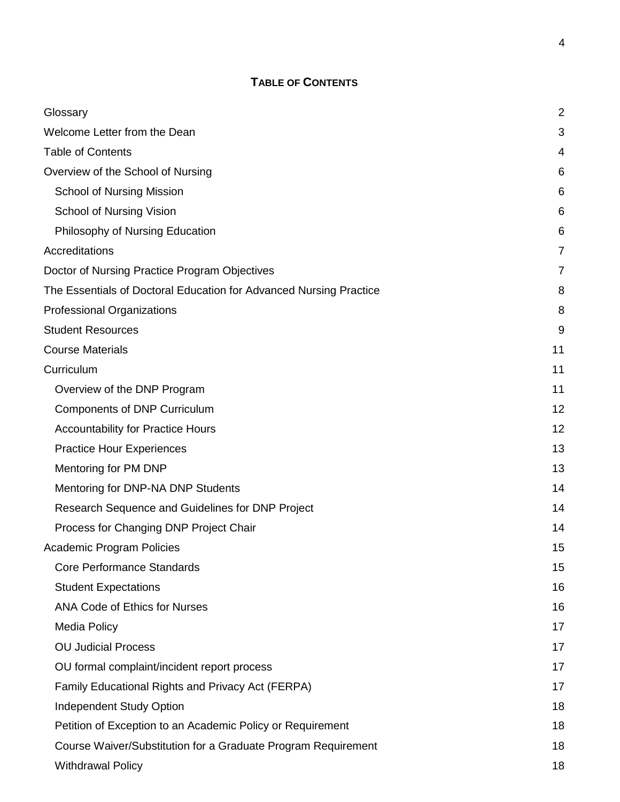# **TABLE OF CONTENTS**

<span id="page-3-0"></span>

| Glossary                                                           | $\overline{2}$ |
|--------------------------------------------------------------------|----------------|
| Welcome Letter from the Dean                                       | 3              |
| <b>Table of Contents</b>                                           | 4              |
| Overview of the School of Nursing                                  | 6              |
| <b>School of Nursing Mission</b>                                   | 6              |
| School of Nursing Vision                                           | 6              |
| Philosophy of Nursing Education                                    | 6              |
| Accreditations                                                     | 7              |
| Doctor of Nursing Practice Program Objectives                      | 7              |
| The Essentials of Doctoral Education for Advanced Nursing Practice | 8              |
| <b>Professional Organizations</b>                                  | 8              |
| <b>Student Resources</b>                                           | 9              |
| <b>Course Materials</b>                                            | 11             |
| Curriculum                                                         | 11             |
| Overview of the DNP Program                                        | 11             |
| <b>Components of DNP Curriculum</b>                                | 12             |
| <b>Accountability for Practice Hours</b>                           | 12             |
| <b>Practice Hour Experiences</b>                                   | 13             |
| Mentoring for PM DNP                                               | 13             |
| Mentoring for DNP-NA DNP Students                                  | 14             |
| Research Sequence and Guidelines for DNP Project                   | 14             |
| Process for Changing DNP Project Chair                             | 14             |
| Academic Program Policies                                          | 15             |
| Core Performance Standards                                         | 15             |
| <b>Student Expectations</b>                                        | 16             |
| <b>ANA Code of Ethics for Nurses</b>                               | 16             |
| <b>Media Policy</b>                                                | 17             |
| <b>OU Judicial Process</b>                                         | 17             |
| OU formal complaint/incident report process                        | 17             |
| Family Educational Rights and Privacy Act (FERPA)                  | 17             |
| <b>Independent Study Option</b>                                    | 18             |
| Petition of Exception to an Academic Policy or Requirement         | 18             |
| Course Waiver/Substitution for a Graduate Program Requirement      | 18             |
| <b>Withdrawal Policy</b>                                           | 18             |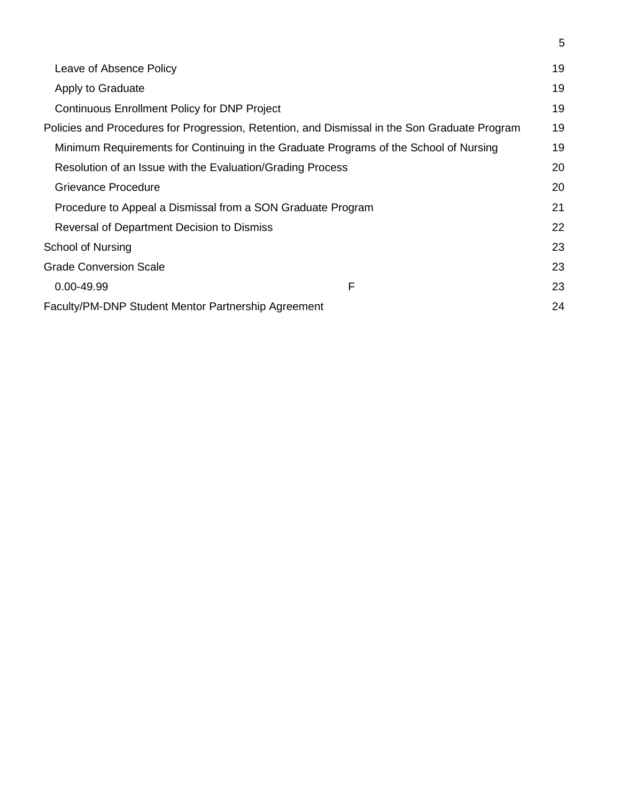| Leave of Absence Policy                                                                       |   | 19 |
|-----------------------------------------------------------------------------------------------|---|----|
| Apply to Graduate                                                                             |   |    |
| <b>Continuous Enrollment Policy for DNP Project</b>                                           |   | 19 |
| Policies and Procedures for Progression, Retention, and Dismissal in the Son Graduate Program |   |    |
| Minimum Requirements for Continuing in the Graduate Programs of the School of Nursing         |   | 19 |
| Resolution of an Issue with the Evaluation/Grading Process                                    |   | 20 |
| Grievance Procedure                                                                           |   | 20 |
| Procedure to Appeal a Dismissal from a SON Graduate Program                                   |   | 21 |
| Reversal of Department Decision to Dismiss                                                    |   | 22 |
| School of Nursing                                                                             |   | 23 |
| <b>Grade Conversion Scale</b>                                                                 |   | 23 |
| 0.00-49.99                                                                                    | F | 23 |
| Faculty/PM-DNP Student Mentor Partnership Agreement                                           |   | 24 |

5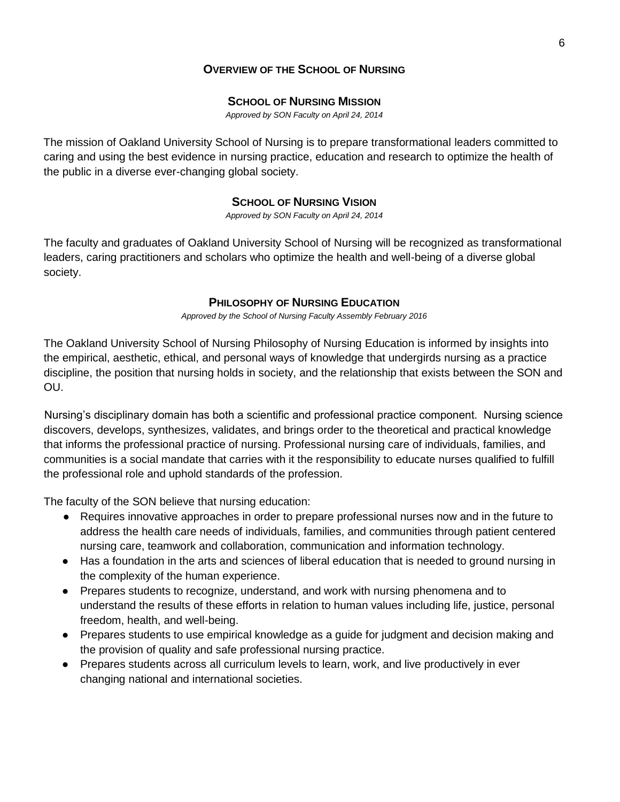### <span id="page-5-0"></span>**O[VERVIEW OF THE](#page-3-0) SCHOOL OF NURSING**

#### <span id="page-5-1"></span>**S[CHOOL OF](#page-5-4) NURSING MISSION**

*Approved by SON Faculty on April 24, 2014*

<span id="page-5-4"></span>The mission of Oakland University School of Nursing is to prepare transformational leaders committed to caring and using the best evidence in nursing practice, education and research to optimize the health of the public in a diverse ever-changing global society.

#### <span id="page-5-2"></span>**S[CHOOL OF](#page-21-1) NURSING VISION**

*Approved by SON Faculty on April 24, 2014*

The faculty and graduates of Oakland University School of Nursing will be recognized as transformational leaders, caring practitioners and scholars who optimize the health and well-being of a diverse global society.

#### <span id="page-5-3"></span>**P[HILOSOPHY OF](#page-5-3) NURSING EDUCATION**

*Approved by the School of Nursing Faculty Assembly February 2016*

The Oakland University School of Nursing Philosophy of Nursing Education is informed by insights into the empirical, aesthetic, ethical, and personal ways of knowledge that undergirds nursing as a practice discipline, the position that nursing holds in society, and the relationship that exists between the SON and OU.

Nursing's disciplinary domain has both a scientific and professional practice component. Nursing science discovers, develops, synthesizes, validates, and brings order to the theoretical and practical knowledge that informs the professional practice of nursing. Professional nursing care of individuals, families, and communities is a social mandate that carries with it the responsibility to educate nurses qualified to fulfill the professional role and uphold standards of the profession.

The faculty of the SON believe that nursing education:

- Requires innovative approaches in order to prepare professional nurses now and in the future to address the health care needs of individuals, families, and communities through patient centered nursing care, teamwork and collaboration, communication and information technology.
- Has a foundation in the arts and sciences of liberal education that is needed to ground nursing in the complexity of the human experience.
- Prepares students to recognize, understand, and work with nursing phenomena and to understand the results of these efforts in relation to human values including life, justice, personal freedom, health, and well-being.
- Prepares students to use empirical knowledge as a guide for judgment and decision making and the provision of quality and safe professional nursing practice.
- Prepares students across all curriculum levels to learn, work, and live productively in ever changing national and international societies.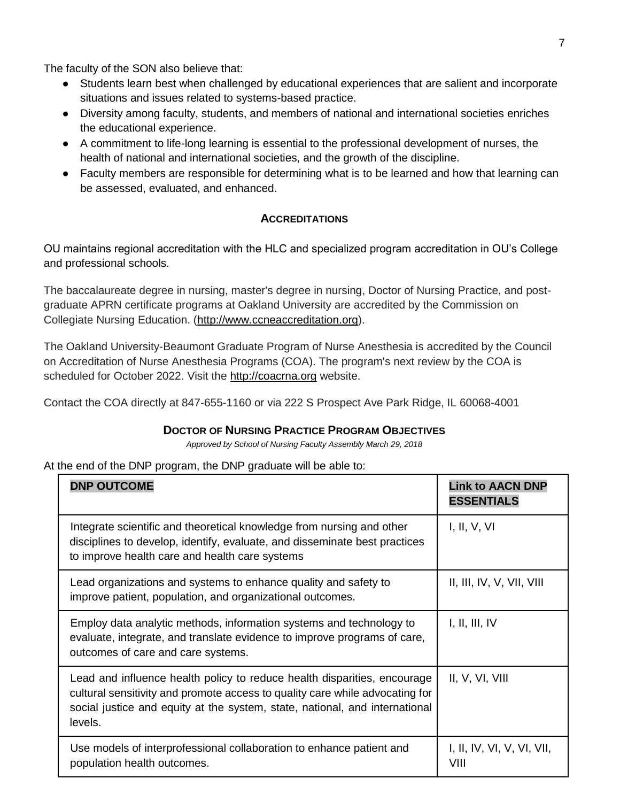The faculty of the SON also believe that:

- Students learn best when challenged by educational experiences that are salient and incorporate situations and issues related to systems-based practice.
- Diversity among faculty, students, and members of national and international societies enriches the educational experience.
- A commitment to life-long learning is essential to the professional development of nurses, the health of national and international societies, and the growth of the discipline.
- Faculty members are responsible for determining what is to be learned and how that learning can be assessed, evaluated, and enhanced.

### <span id="page-6-0"></span>**A[CCREDITATIONS](#page-6-0)**

OU maintains regional accreditation with the HLC and specialized program accreditation in OU's College and professional schools.

The baccalaureate degree in nursing, master's degree in nursing, Doctor of Nursing Practice, and postgraduate APRN certificate programs at Oakland University are accredited by the Commission on Collegiate Nursing Education. [\(http://www.ccneaccreditation.org\)](http://www.ccneaccreditation.org/).

The Oakland University-Beaumont Graduate Program of Nurse Anesthesia is accredited by the Council on Accreditation of Nurse Anesthesia Programs (COA). The program's next review by the COA is scheduled for October 2022. Visit the [http://coacrna.org](http://coacrna.org/) website.

Contact the COA directly at 847-655-1160 or via 222 S Prospect Ave Park Ridge, IL 60068-4001

### <span id="page-6-1"></span>**DOCTOR OF NURSING PRACTICE PROGRAM O[BJECTIVES](#page-6-1)**

*Approved by School of Nursing Faculty Assembly March 29, 2018*

At the end of the DNP program, the DNP graduate will be able to:

| <b>DNP OUTCOME</b>                                                                                                                                                                                                                                 | <b>Link to AACN DNP</b><br><b>ESSENTIALS</b> |
|----------------------------------------------------------------------------------------------------------------------------------------------------------------------------------------------------------------------------------------------------|----------------------------------------------|
| Integrate scientific and theoretical knowledge from nursing and other<br>disciplines to develop, identify, evaluate, and disseminate best practices<br>to improve health care and health care systems                                              | I, II, V, VI                                 |
| Lead organizations and systems to enhance quality and safety to<br>improve patient, population, and organizational outcomes.                                                                                                                       | II, III, IV, V, VII, VIII                    |
| Employ data analytic methods, information systems and technology to<br>evaluate, integrate, and translate evidence to improve programs of care,<br>outcomes of care and care systems.                                                              | I, II, III, IV                               |
| Lead and influence health policy to reduce health disparities, encourage<br>cultural sensitivity and promote access to quality care while advocating for<br>social justice and equity at the system, state, national, and international<br>levels. | II, V, VI, VIII                              |
| Use models of interprofessional collaboration to enhance patient and<br>population health outcomes.                                                                                                                                                | I, II, IV, VI, V, VI, VII,<br>VIII           |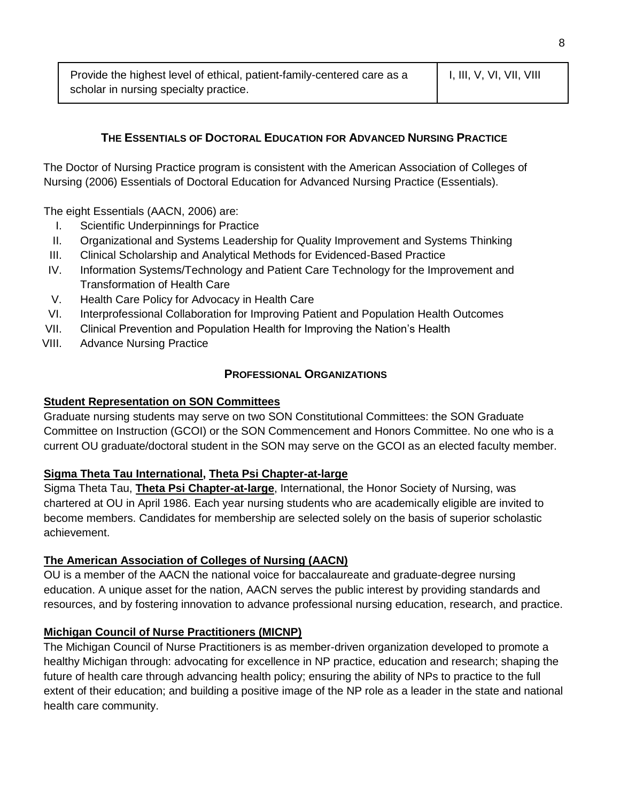# <span id="page-7-0"></span>**THE ESSENTIALS OF DOCTORAL E[DUCATION FOR](#page-7-0) ADVANCED NURSING PRACTICE**

The Doctor of Nursing Practice program is consistent with the American Association of Colleges of Nursing (2006) Essentials of Doctoral Education for Advanced Nursing Practice (Essentials).

The eight Essentials (AACN, 2006) are:

- I. Scientific Underpinnings for Practice
- II. Organizational and Systems Leadership for Quality Improvement and Systems Thinking
- III. Clinical Scholarship and Analytical Methods for Evidenced-Based Practice
- IV. Information Systems/Technology and Patient Care Technology for the Improvement and Transformation of Health Care
- V. Health Care Policy for Advocacy in Health Care
- VI. Interprofessional Collaboration for Improving Patient and Population Health Outcomes
- VII. Clinical Prevention and Population Health for Improving the Nation's Health
- VIII. Advance Nursing Practice

#### <span id="page-7-2"></span><span id="page-7-1"></span>**PROFESSIONAL O[RGANIZATIONS](#page-7-2)**

#### **Student Representation on SON Committees**

Graduate nursing students may serve on two SON Constitutional Committees: the SON Graduate Committee on Instruction (GCOI) or the SON Commencement and Honors Committee. No one who is a current OU graduate/doctoral student in the SON may serve on the GCOI as an elected faculty member.

### **Sigma Theta Tau International, Theta Psi Chapter-at-large**

Sigma Theta Tau, **Theta Psi Chapter-at-large**, International, the Honor Society of Nursing, was chartered at OU in April 1986. Each year nursing students who are academically eligible are invited to become members. Candidates for membership are selected solely on the basis of superior scholastic achievement.

#### **The American Association of Colleges of Nursing (AACN)**

OU is a member of the AACN the national voice for baccalaureate and graduate-degree nursing education. A unique asset for the nation, AACN serves the public interest by providing standards and resources, and by fostering innovation to advance professional nursing education, research, and practice.

### **Michigan Council of Nurse Practitioners (MICNP)**

The Michigan Council of Nurse Practitioners is as member-driven organization developed to promote a healthy Michigan through: advocating for excellence in NP practice, education and research; shaping the future of health care through advancing health policy; ensuring the ability of NPs to practice to the full extent of their education; and building a positive image of the NP role as a leader in the state and national health care community.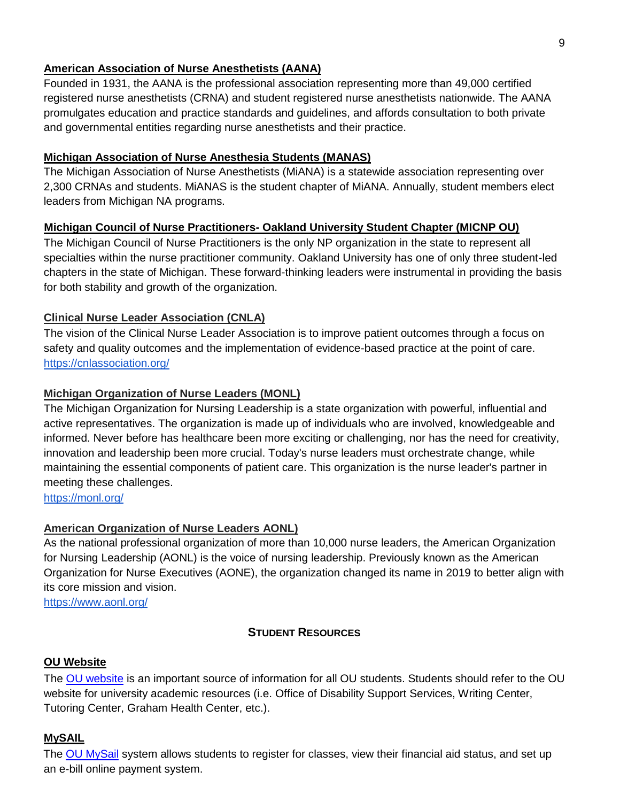### **American Association of Nurse Anesthetists (AANA)**

Founded in 1931, the AANA is the professional association representing more than 49,000 certified registered nurse anesthetists (CRNA) and student registered nurse anesthetists nationwide. The AANA promulgates education and practice standards and guidelines, and affords consultation to both private and governmental entities regarding nurse anesthetists and their practice.

### **Michigan Association of Nurse Anesthesia Students (MANAS)**

The Michigan Association of Nurse Anesthetists (MiANA) is a statewide association representing over 2,300 CRNAs and students. MiANAS is the student chapter of MiANA. Annually, student members elect leaders from Michigan NA programs.

### **Michigan Council of Nurse Practitioners- Oakland University Student Chapter (MICNP OU)**

The Michigan Council of Nurse Practitioners is the only NP organization in the state to represent all specialties within the nurse practitioner community. Oakland University has one of only three student-led chapters in the state of Michigan. These forward-thinking leaders were instrumental in providing the basis for both stability and growth of the organization.

# **Clinical Nurse Leader Association (CNLA)**

The vision of the Clinical Nurse Leader Association is to improve patient outcomes through a focus on safety and quality outcomes and the implementation of evidence-based practice at the point of care. <https://cnlassociation.org/>

### **Michigan Organization of Nurse Leaders (MONL)**

The Michigan Organization for Nursing Leadership is a state organization with powerful, influential and active representatives. The organization is made up of individuals who are involved, knowledgeable and informed. Never before has healthcare been more exciting or challenging, nor has the need for creativity, innovation and leadership been more crucial. Today's nurse leaders must orchestrate change, while maintaining the essential components of patient care. This organization is the nurse leader's partner in meeting these challenges.

<https://monl.org/>

# **American Organization of Nurse Leaders AONL)**

As the national professional organization of more than 10,000 nurse leaders, the American Organization for Nursing Leadership (AONL) is the voice of nursing leadership. Previously known as the American Organization for Nurse Executives (AONE), the organization changed its name in 2019 to better align with its core mission and vision.

<https://www.aonl.org/>

# <span id="page-8-0"></span>**STUDENT R[ESOURCES](#page-8-0)**

### **OU Website**

The OU [website](https://www.oakland.edu/) is an important source of information for all OU students. Students should refer to the OU website for university academic resources (i.e. Office of Disability Support Services, Writing Center, Tutoring Center, Graham Health Center, etc.).

### **MySAIL**

The OU MySail system allows students to register for classes, view their financial aid status, and set up an e-bill online payment system.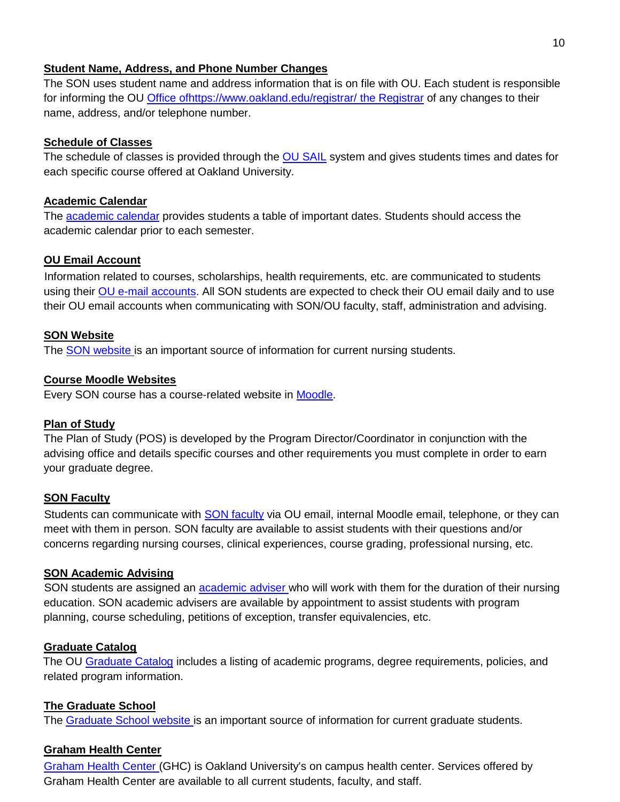#### **Student Name, Address, and Phone Number Changes**

The SON uses student name and address information that is on file with OU. Each student is responsible for informing the OU Office o[fhttps://www.oakland.edu/registrar/](https://www.oakland.edu/registrar/) the Registrar of any changes to their name, address, and/or telephone number.

### **Schedule of Classes**

The schedule of classes is provided through the OU [SAIL](https://sail.oakland.edu/PROD/twbkwbis.P_GenMenu?name=homepage) system and gives students times and dates for each specific course offered at Oakland University.

### **Academic Calendar**

The [academic calendar](https://www.oakland.edu/registrar/important-dates/) provides students a table of important dates. Students should access the academic calendar prior to each semester.

### **OU Email Account**

Information related to courses, scholarships, health requirements, etc. are communicated to students using their OU e-mail accounts. All SON students are expected to check their OU email daily and to use their OU email accounts when communicating with SON/OU faculty, staff, administration and advising.

### **SON Website**

The SON website is an important source of information for current nursing students.

### **Course Moodle Websites**

Every SON course has a course-related website in **Moodle**.

#### **Plan of Study**

The Plan of Study (POS) is developed by the Program Director/Coordinator in conjunction with the advising office and details specific courses and other requirements you must complete in order to earn your graduate degree.

### **SON Faculty**

Students can communicate with **SON** faculty via OU email, internal Moodle email, telephone, or they can meet with them in person. SON faculty are available to assist students with their questions and/or concerns regarding nursing courses, clinical experiences, course grading, professional nursing, etc.

### **SON Academic Advising**

SON students are assigned an **academic adviser who will work with them for the duration of their nursing** education. SON academic advisers are available by appointment to assist students with program planning, course scheduling, petitions of exception, transfer equivalencies, etc.

#### **Graduate Catalog**

The OU [Graduate Catalog](http://catalog.oakland.edu/index.php?catoid=56) includes a listing of academic programs, degree requirements, policies, and related program information.

### **The Graduate School**

The [Graduate School website](https://www.oakland.edu/grad/) is an important source of information for current graduate students.

### **Graham Health Center**

[Graham Health Center](https://www.oakland.edu/ghc/) (GHC) is Oakland University's on campus health center. Services offered by Graham Health Center are available to all current students, faculty, and staff.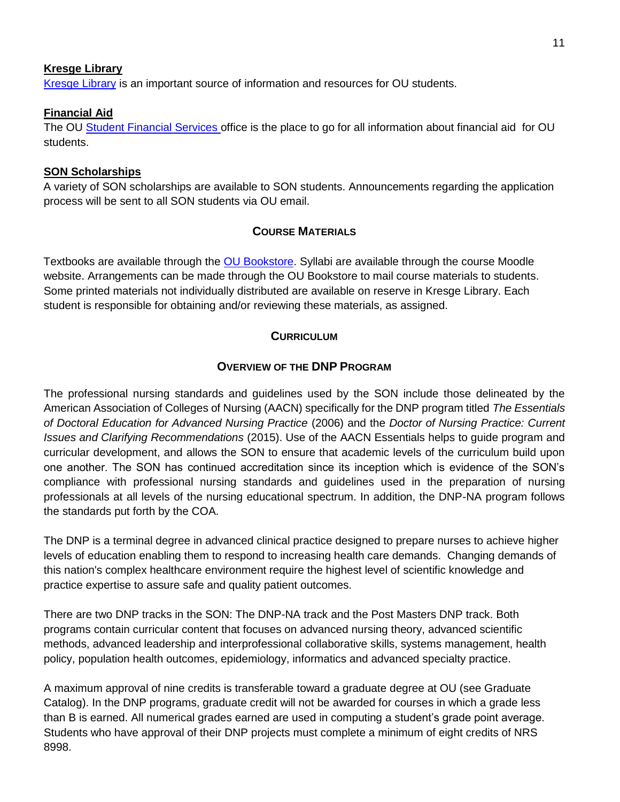#### **Kresge Library**

[Kresge Library](https://library.oakland.edu/index.php) is an important source of information and resources for OU students.

### **Financial Aid**

The OU [Student Financial Services](https://www.oakland.edu/financialservices/) office is the place to go for all information about financial aid for OU students.

### **SON Scholarships**

A variety of SON scholarships are available to SON students. Announcements regarding the application process will be sent to all SON students via OU email.

# <span id="page-10-0"></span>**COURSE M[ATERIALS](#page-10-0)**

Textbooks are available through the [OU Bookstore.](https://oakland.bncollege.com/shop/oakland/home) Syllabi are available through the course Moodle website. Arrangements can be made through the OU Bookstore to mail course materials to students. Some printed materials not individually distributed are available on reserve in Kresge Library. Each student is responsible for obtaining and/or reviewing these materials, as assigned.

### <span id="page-10-1"></span>**C[URRICULUM](#page-10-1)**

### <span id="page-10-2"></span>**O[VERVIEW OF THE](#page-10-2) DNP PROGRAM**

The professional nursing standards and guidelines used by the SON include those delineated by the American Association of Colleges of Nursing (AACN) specifically for the DNP program titled *The Essentials of Doctoral Education for Advanced Nursing Practice* (2006) and the *Doctor of Nursing Practice: Current Issues and Clarifying Recommendations* (2015). Use of the AACN Essentials helps to guide program and curricular development, and allows the SON to ensure that academic levels of the curriculum build upon one another. The SON has continued accreditation since its inception which is evidence of the SON's compliance with professional nursing standards and guidelines used in the preparation of nursing professionals at all levels of the nursing educational spectrum. In addition, the DNP-NA program follows the standards put forth by the COA.

The DNP is a terminal degree in advanced clinical practice designed to prepare nurses to achieve higher levels of education enabling them to respond to increasing health care demands. Changing demands of this nation's complex healthcare environment require the highest level of scientific knowledge and practice expertise to assure safe and quality patient outcomes.

There are two DNP tracks in the SON: The DNP-NA track and the Post Masters DNP track. Both programs contain curricular content that focuses on advanced nursing theory, advanced scientific methods, advanced leadership and interprofessional collaborative skills, systems management, health policy, population health outcomes, epidemiology, informatics and advanced specialty practice.

A maximum approval of nine credits is transferable toward a graduate degree at OU (see Graduate Catalog). In the DNP programs, graduate credit will not be awarded for courses in which a grade less than B is earned. All numerical grades earned are used in computing a student's grade point average. Students who have approval of their DNP projects must complete a minimum of eight credits of NRS 8998.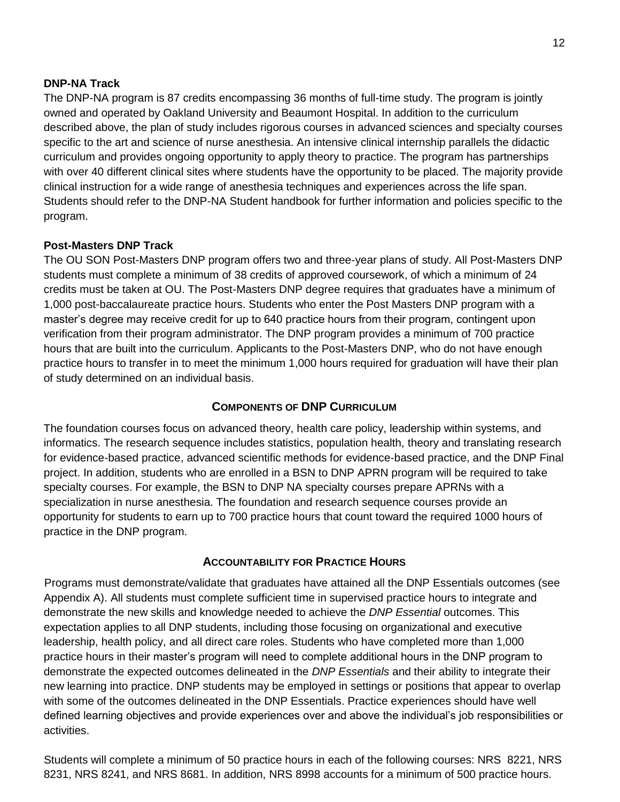### **DNP-NA Track**

The DNP-NA program is 87 credits encompassing 36 months of full-time study. The program is jointly owned and operated by Oakland University and Beaumont Hospital. In addition to the curriculum described above, the plan of study includes rigorous courses in advanced sciences and specialty courses specific to the art and science of nurse anesthesia. An intensive clinical internship parallels the didactic curriculum and provides ongoing opportunity to apply theory to practice. The program has partnerships with over 40 different clinical sites where students have the opportunity to be placed. The majority provide clinical instruction for a wide range of anesthesia techniques and experiences across the life span. Students should refer to the DNP-NA Student handbook for further information and policies specific to the program.

### **Post-Masters DNP Track**

The OU SON Post-Masters DNP program offers two and three-year plans of study. All Post-Masters DNP students must complete a minimum of 38 credits of approved coursework, of which a minimum of 24 credits must be taken at OU. The Post-Masters DNP degree requires that graduates have a minimum of 1,000 post-baccalaureate practice hours. Students who enter the Post Masters DNP program with a master's degree may receive credit for up to 640 practice hours from their program, contingent upon verification from their program administrator. The DNP program provides a minimum of 700 practice hours that are built into the curriculum. Applicants to the Post-Masters DNP, who do not have enough practice hours to transfer in to meet the minimum 1,000 hours required for graduation will have their plan of study determined on an individual basis.

#### <span id="page-11-0"></span>**C[OMPONENTS OF](#page-11-0) DNP CURRICULUM**

The foundation courses focus on advanced theory, health care policy, leadership within systems, and informatics. The research sequence includes statistics, population health, theory and translating research for evidence-based practice, advanced scientific methods for evidence-based practice, and the DNP Final project. In addition, students who are enrolled in a BSN to DNP APRN program will be required to take specialty courses. For example, the BSN to DNP NA specialty courses prepare APRNs with a specialization in nurse anesthesia. The foundation and research sequence courses provide an opportunity for students to earn up to 700 practice hours that count toward the required 1000 hours of practice in the DNP program.

#### <span id="page-11-1"></span>**A[CCOUNTABILITY FOR](#page-11-1) PRACTICE HOURS**

Programs must demonstrate/validate that graduates have attained all the DNP Essentials outcomes (see Appendix A). All students must complete sufficient time in supervised practice hours to integrate and demonstrate the new skills and knowledge needed to achieve the *DNP Essential* outcomes. This expectation applies to all DNP students, including those focusing on organizational and executive leadership, health policy, and all direct care roles. Students who have completed more than 1,000 practice hours in their master's program will need to complete additional hours in the DNP program to demonstrate the expected outcomes delineated in the *DNP Essentials* and their ability to integrate their new learning into practice. DNP students may be employed in settings or positions that appear to overlap with some of the outcomes delineated in the DNP Essentials. Practice experiences should have well defined learning objectives and provide experiences over and above the individual's job responsibilities or activities.

Students will complete a minimum of 50 practice hours in each of the following courses: NRS 8221, NRS 8231, NRS 8241, and NRS 8681. In addition, NRS 8998 accounts for a minimum of 500 practice hours.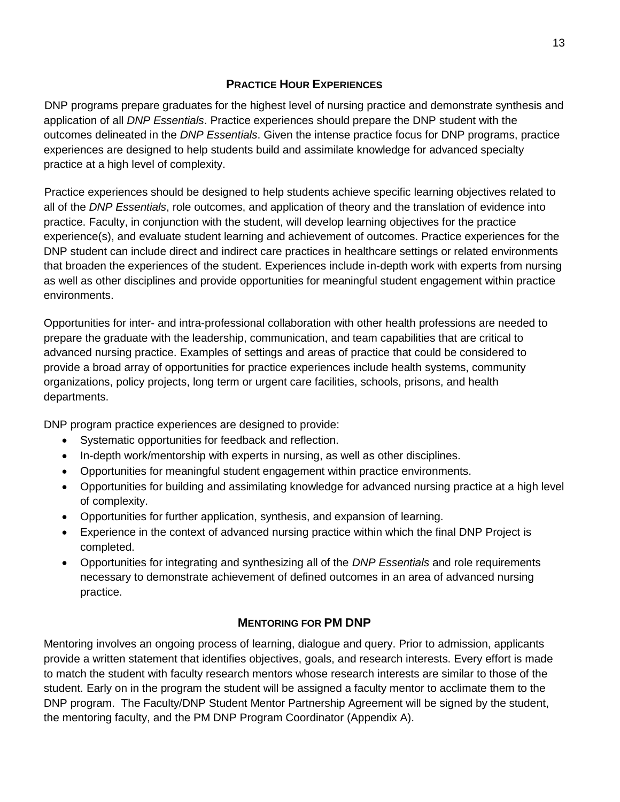### <span id="page-12-0"></span>**PRACTICE HOUR E[XPERIENCES](#page-12-0)**

DNP programs prepare graduates for the highest level of nursing practice and demonstrate synthesis and application of all *DNP Essentials*. Practice experiences should prepare the DNP student with the outcomes delineated in the *DNP Essentials*. Given the intense practice focus for DNP programs, practice experiences are designed to help students build and assimilate knowledge for advanced specialty practice at a high level of complexity.

Practice experiences should be designed to help students achieve specific learning objectives related to all of the *DNP Essentials*, role outcomes, and application of theory and the translation of evidence into practice. Faculty, in conjunction with the student, will develop learning objectives for the practice experience(s), and evaluate student learning and achievement of outcomes. Practice experiences for the DNP student can include direct and indirect care practices in healthcare settings or related environments that broaden the experiences of the student. Experiences include in-depth work with experts from nursing as well as other disciplines and provide opportunities for meaningful student engagement within practice environments.

Opportunities for inter- and intra-professional collaboration with other health professions are needed to prepare the graduate with the leadership, communication, and team capabilities that are critical to advanced nursing practice. Examples of settings and areas of practice that could be considered to provide a broad array of opportunities for practice experiences include health systems, community organizations, policy projects, long term or urgent care facilities, schools, prisons, and health departments.

DNP program practice experiences are designed to provide:

- Systematic opportunities for feedback and reflection.
- In-depth work/mentorship with experts in nursing, as well as other disciplines.
- Opportunities for meaningful student engagement within practice environments.
- Opportunities for building and assimilating knowledge for advanced nursing practice at a high level of complexity.
- Opportunities for further application, synthesis, and expansion of learning.
- Experience in the context of advanced nursing practice within which the final DNP Project is completed.
- Opportunities for integrating and synthesizing all of the *DNP Essentials* and role requirements necessary to demonstrate achievement of defined outcomes in an area of advanced nursing practice.

# <span id="page-12-1"></span>**M[ENTORING FOR](#page-12-1) PM DNP**

Mentoring involves an ongoing process of learning, dialogue and query. Prior to admission, applicants provide a written statement that identifies objectives, goals, and research interests. Every effort is made to match the student with faculty research mentors whose research interests are similar to those of the student. Early on in the program the student will be assigned a faculty mentor to acclimate them to the DNP program. The Faculty/DNP Student Mentor Partnership Agreement will be signed by the student, the mentoring faculty, and the PM DNP Program Coordinator (Appendix A).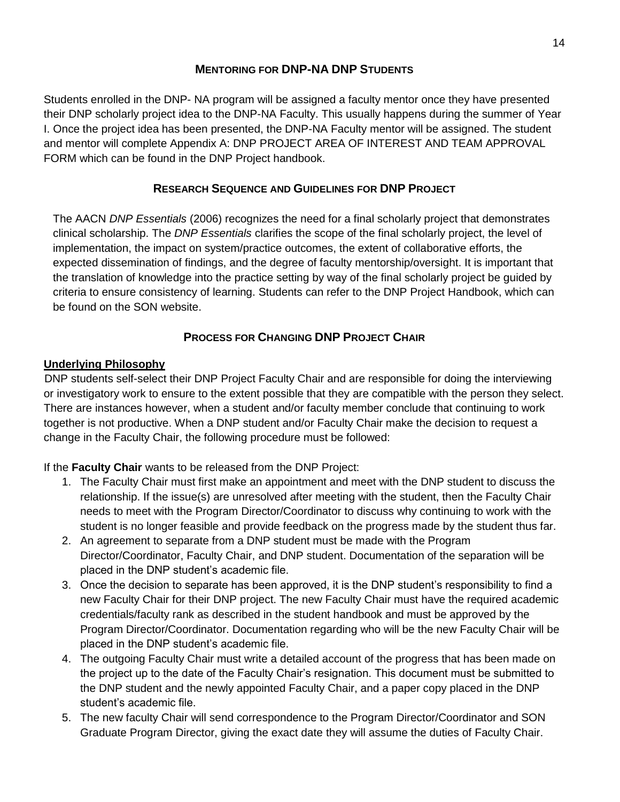### <span id="page-13-0"></span>**M[ENTORING FOR](#page-13-0) DNP-NA DNP STUDENTS**

Students enrolled in the DNP- NA program will be assigned a faculty mentor once they have presented their DNP scholarly project idea to the DNP-NA Faculty. This usually happens during the summer of Year I. Once the project idea has been presented, the DNP-NA Faculty mentor will be assigned. The student and mentor will complete Appendix A: DNP PROJECT AREA OF INTEREST AND TEAM APPROVAL FORM which can be found in the DNP Project handbook.

# <span id="page-13-1"></span>**RESEARCH SEQUENCE AND G[UIDELINES](#page-13-1) FOR DNP PROJECT**

The AACN *DNP Essentials* (2006) recognizes the need for a final scholarly project that demonstrates clinical scholarship. The *DNP Essentials* clarifies the scope of the final scholarly project, the level of implementation, the impact on system/practice outcomes, the extent of collaborative efforts, the expected dissemination of findings, and the degree of faculty mentorship/oversight. It is important that the translation of knowledge into the practice setting by way of the final scholarly project be guided by criteria to ensure consistency of learning. Students can refer to the DNP Project Handbook, which can be found on the SON website.

# <span id="page-13-2"></span>**P[ROCESS FOR](#page-13-2) CHANGING DNP PROJECT CHAIR**

### **Underlying Philosophy**

DNP students self-select their DNP Project Faculty Chair and are responsible for doing the interviewing or investigatory work to ensure to the extent possible that they are compatible with the person they select. There are instances however, when a student and/or faculty member conclude that continuing to work together is not productive. When a DNP student and/or Faculty Chair make the decision to request a change in the Faculty Chair, the following procedure must be followed:

### If the **Faculty Chair** wants to be released from the DNP Project:

- 1. The Faculty Chair must first make an appointment and meet with the DNP student to discuss the relationship. If the issue(s) are unresolved after meeting with the student, then the Faculty Chair needs to meet with the Program Director/Coordinator to discuss why continuing to work with the student is no longer feasible and provide feedback on the progress made by the student thus far.
- 2. An agreement to separate from a DNP student must be made with the Program Director/Coordinator, Faculty Chair, and DNP student. Documentation of the separation will be placed in the DNP student's academic file.
- 3. Once the decision to separate has been approved, it is the DNP student's responsibility to find a new Faculty Chair for their DNP project. The new Faculty Chair must have the required academic credentials/faculty rank as described in the student handbook and must be approved by the Program Director/Coordinator. Documentation regarding who will be the new Faculty Chair will be placed in the DNP student's academic file.
- 4. The outgoing Faculty Chair must write a detailed account of the progress that has been made on the project up to the date of the Faculty Chair's resignation. This document must be submitted to the DNP student and the newly appointed Faculty Chair, and a paper copy placed in the DNP student's academic file.
- 5. The new faculty Chair will send correspondence to the Program Director/Coordinator and SON Graduate Program Director, giving the exact date they will assume the duties of Faculty Chair.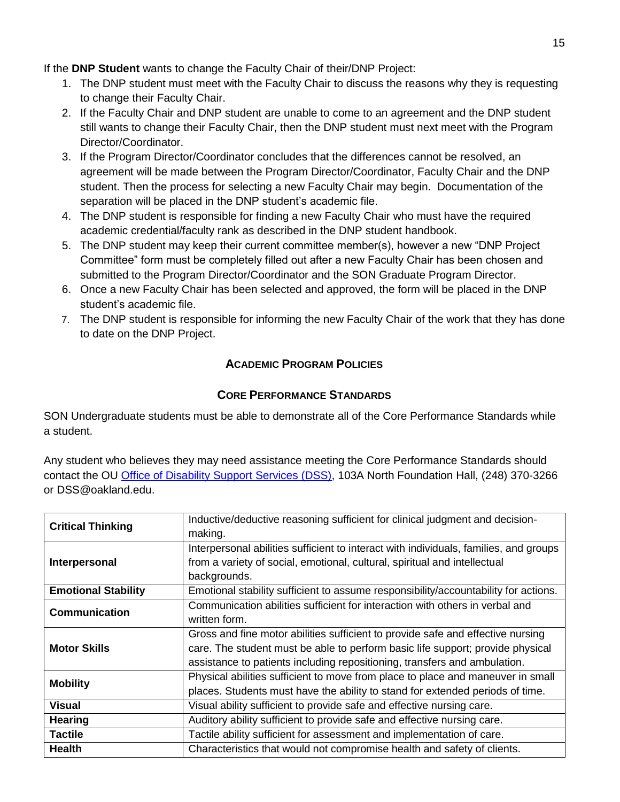If the **DNP Student** wants to change the Faculty Chair of their/DNP Project:

- 1. The DNP student must meet with the Faculty Chair to discuss the reasons why they is requesting to change their Faculty Chair.
- 2. If the Faculty Chair and DNP student are unable to come to an agreement and the DNP student still wants to change their Faculty Chair, then the DNP student must next meet with the Program Director/Coordinator.
- 3. If the Program Director/Coordinator concludes that the differences cannot be resolved, an agreement will be made between the Program Director/Coordinator, Faculty Chair and the DNP student. Then the process for selecting a new Faculty Chair may begin. Documentation of the separation will be placed in the DNP student's academic file.
- 4. The DNP student is responsible for finding a new Faculty Chair who must have the required academic credential/faculty rank as described in the DNP student handbook.
- 5. The DNP student may keep their current committee member(s), however a new "DNP Project Committee" form must be completely filled out after a new Faculty Chair has been chosen and submitted to the Program Director/Coordinator and the SON Graduate Program Director.
- 6. Once a new Faculty Chair has been selected and approved, the form will be placed in the DNP student's academic file.
- 7. The DNP student is responsible for informing the new Faculty Chair of the work that they has done to date on the DNP Project.

# <span id="page-14-0"></span>**A[CADEMIC](#page-14-0) PROGRAM POLICIES**

# <span id="page-14-1"></span>**CORE P[ERFORMANCE](#page-14-1) STANDARDS**

SON Undergraduate students must be able to demonstrate all of the Core Performance Standards while a student.

Any student who believes they may need assistance meeting the Core Performance Standards should contact the OU [Office of Disability Support Services \(DSS\),](about:blank) 103A North Foundation Hall, (248) 370-3266 or DSS@oakland.edu.

|                            | Inductive/deductive reasoning sufficient for clinical judgment and decision-          |
|----------------------------|---------------------------------------------------------------------------------------|
| <b>Critical Thinking</b>   | making.                                                                               |
|                            | Interpersonal abilities sufficient to interact with individuals, families, and groups |
| Interpersonal              | from a variety of social, emotional, cultural, spiritual and intellectual             |
|                            | backgrounds.                                                                          |
| <b>Emotional Stability</b> | Emotional stability sufficient to assume responsibility/accountability for actions.   |
| <b>Communication</b>       | Communication abilities sufficient for interaction with others in verbal and          |
|                            | written form.                                                                         |
|                            | Gross and fine motor abilities sufficient to provide safe and effective nursing       |
| <b>Motor Skills</b>        | care. The student must be able to perform basic life support; provide physical        |
|                            | assistance to patients including repositioning, transfers and ambulation.             |
| <b>Mobility</b>            | Physical abilities sufficient to move from place to place and maneuver in small       |
|                            | places. Students must have the ability to stand for extended periods of time.         |
| <b>Visual</b>              | Visual ability sufficient to provide safe and effective nursing care.                 |
| <b>Hearing</b>             | Auditory ability sufficient to provide safe and effective nursing care.               |
| <b>Tactile</b>             | Tactile ability sufficient for assessment and implementation of care.                 |
| <b>Health</b>              | Characteristics that would not compromise health and safety of clients.               |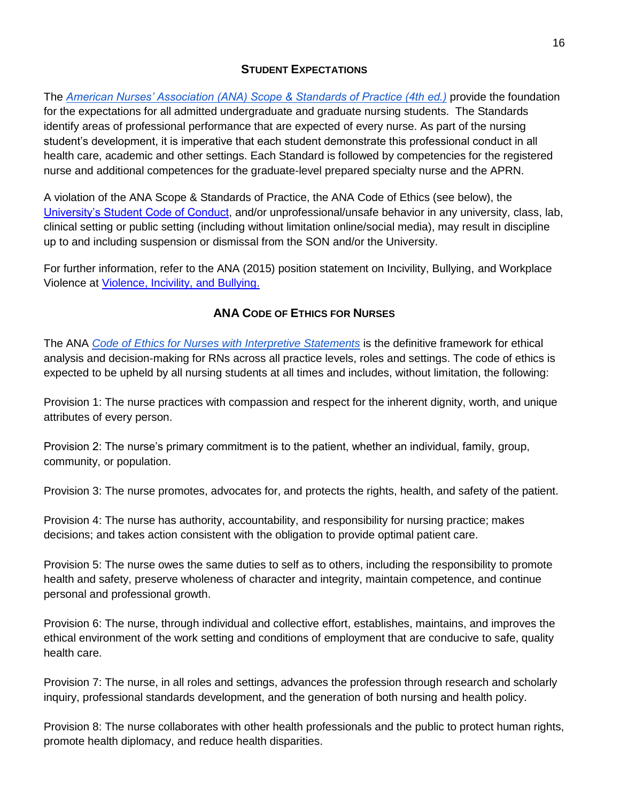# <span id="page-15-0"></span>**STUDENT E[XPECTATIONS](#page-15-0)**

Th[e](https://www.nursingworld.org/nurses-books/nursing-scope-and-standards-of-practice-3rd-ed/) *[American Nurses' Association \(ANA\) Scope & Standards of Practice \(4th ed.\)](https://www.nursingworld.org/nurses-books/nursing-scope-and-standards-of-practice-4th-edit/)* provide the foundation for the expectations for all admitted undergraduate and graduate nursing students. The Standards identify areas of professional performance that are expected of every nurse. As part of the nursing student's development, it is imperative that each student demonstrate this professional conduct in all health care, academic and other settings. Each Standard is followed by competencies for the registered nurse and additional competences for the graduate-level prepared specialty nurse and the APRN.

A violation of the ANA Scope & Standards of Practice, the ANA Code of Ethics (see below), the [University's Student Code of Conduct,](https://oakland.edu/deanofstudents/student-code-of-conduct/core-standards-and-behavioral-expectations/) and/or unprofessional/unsafe behavior in any university, class, lab, clinical setting or public setting (including without limitation online/social media), may result in discipline up to and including suspension or dismissal from the SON and/or the University.

For further information, refer to the ANA (2015) position statement on Incivility, Bullying, and Workplace Violence a[t](http://www.nursingworld.org/MainMenuCategories/Policy-Advocacy/Positions-and-Resolutions/ANAPositionStatements/Position-Statements-Alphabetically/Incivility-Bullying-and-Workplace-Violence.html) [Violence, Incivility, and Bullying.](http://www.nursingworld.org/MainMenuCategories/Policy-Advocacy/Positions-and-Resolutions/ANAPositionStatements/Position-Statements-Alphabetically/Incivility-Bullying-and-Workplace-Violence.html)

# <span id="page-15-1"></span>**ANA CODE OF E[THICS FOR](#page-15-1) NURSES**

The ANA *[Code of Ethics for Nurses with](https://www.nursingworld.org/nurses-books/code-of-ethics-for-nurses/) Interpretive Statements* is the definitive framework for ethical analysis and decision-making for RNs across all practice levels, roles and settings. The code of ethics is expected to be upheld by all nursing students at all times and includes, without limitation, the following:

Provision 1: The nurse practices with compassion and respect for the inherent dignity, worth, and unique attributes of every person.

Provision 2: The nurse's primary commitment is to the patient, whether an individual, family, group, community, or population.

Provision 3: The nurse promotes, advocates for, and protects the rights, health, and safety of the patient.

Provision 4: The nurse has authority, accountability, and responsibility for nursing practice; makes decisions; and takes action consistent with the obligation to provide optimal patient care.

Provision 5: The nurse owes the same duties to self as to others, including the responsibility to promote health and safety, preserve wholeness of character and integrity, maintain competence, and continue personal and professional growth.

Provision 6: The nurse, through individual and collective effort, establishes, maintains, and improves the ethical environment of the work setting and conditions of employment that are conducive to safe, quality health care.

Provision 7: The nurse, in all roles and settings, advances the profession through research and scholarly inquiry, professional standards development, and the generation of both nursing and health policy.

Provision 8: The nurse collaborates with other health professionals and the public to protect human rights, promote health diplomacy, and reduce health disparities.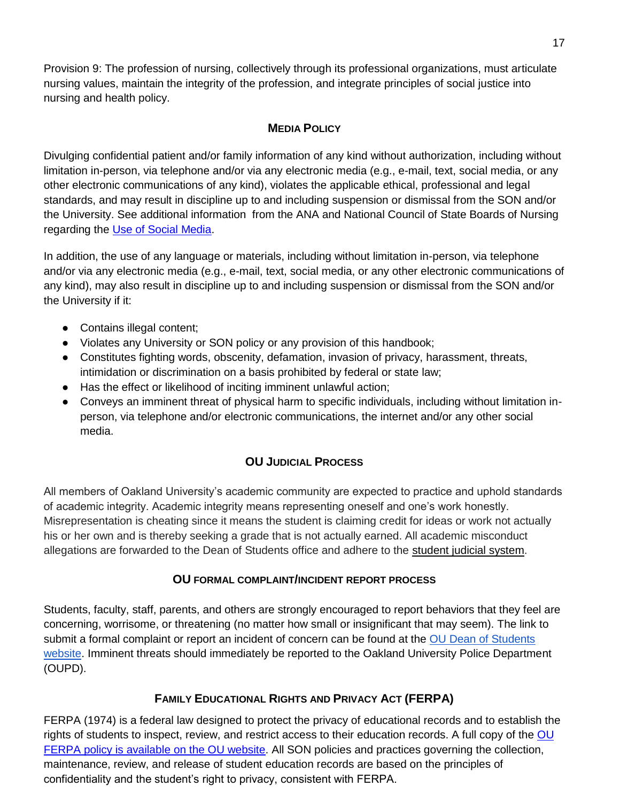Provision 9: The profession of nursing, collectively through its professional organizations, must articulate nursing values, maintain the integrity of the profession, and integrate principles of social justice into nursing and health policy.

# <span id="page-16-0"></span>**MEDIA P[OLICY](#page-16-0)**

Divulging confidential patient and/or family information of any kind without authorization, including without limitation in-person, via telephone and/or via any electronic media (e.g., e-mail, text, social media, or any other electronic communications of any kind), violates the applicable ethical, professional and legal standards, and may result in discipline up to and including suspension or dismissal from the SON and/or the University. See additional information from the ANA and National Council of State Boards of Nursing regarding th[e](https://www.ncsbn.org/Social_Media.pdf) [Use of Social Media.](https://www.ncsbn.org/Social_Media.pdf)

In addition, the use of any language or materials, including without limitation in-person, via telephone and/or via any electronic media (e.g., e-mail, text, social media, or any other electronic communications of any kind), may also result in discipline up to and including suspension or dismissal from the SON and/or the University if it:

- Contains illegal content;
- Violates any University or SON policy or any provision of this handbook;
- Constitutes fighting words, obscenity, defamation, invasion of privacy, harassment, threats, intimidation or discrimination on a basis prohibited by federal or state law;
- Has the effect or likelihood of inciting imminent unlawful action;
- Conveys an imminent threat of physical harm to specific individuals, including without limitation inperson, via telephone and/or electronic communications, the internet and/or any other social media.

# <span id="page-16-1"></span>**OU J[UDICIAL](#page-16-1) PROCESS**

All members of Oakland University's academic community are expected to practice and uphold standards of academic integrity. Academic integrity means representing oneself and one's work honestly. Misrepresentation is cheating since it means the student is claiming credit for ideas or work not actually his or her own and is thereby seeking a grade that is not actually earned. All academic misconduct allegations are forwarded to the Dean of Students office and adhere to the [student judicial system.](https://oakland.edu/deanofstudents/student-code-of-conduct/scc-hearing-process/index)

### <span id="page-16-2"></span>**OU FORMAL COMPLAINT/[INCIDENT REPORT PROCESS](#page-16-2)**

Students, faculty, staff, parents, and others are strongly encouraged to report behaviors that they feel are concerning, worrisome, or threatening (no matter how small or insignificant that may seem). The link to submit a formal complaint or report an incident of concern can be found at the [OU Dean of Students](https://www.oakland.edu/deanofstudents/faculty-staff-resources/report-an-incident/)  [website.](https://www.oakland.edu/deanofstudents/faculty-staff-resources/report-an-incident/) Imminent threats should immediately be reported to the Oakland University Police Department (OUPD).

# <span id="page-16-3"></span>**FAMILY E[DUCATIONAL](#page-16-3) RIGHTS AND PRIVACY ACT (FERPA)**

FERPA (1974) is a federal law designed to protect the privacy of educational records and to establish the rights of students to inspect, review, and restrict access to their education records. A full copy of the OU [FERPA policy is available on the OU website.](about:blank) All SON policies and practices governing the collection, maintenance, review, and release of student education records are based on the principles of confidentiality and the student's right to privacy, consistent with FERPA.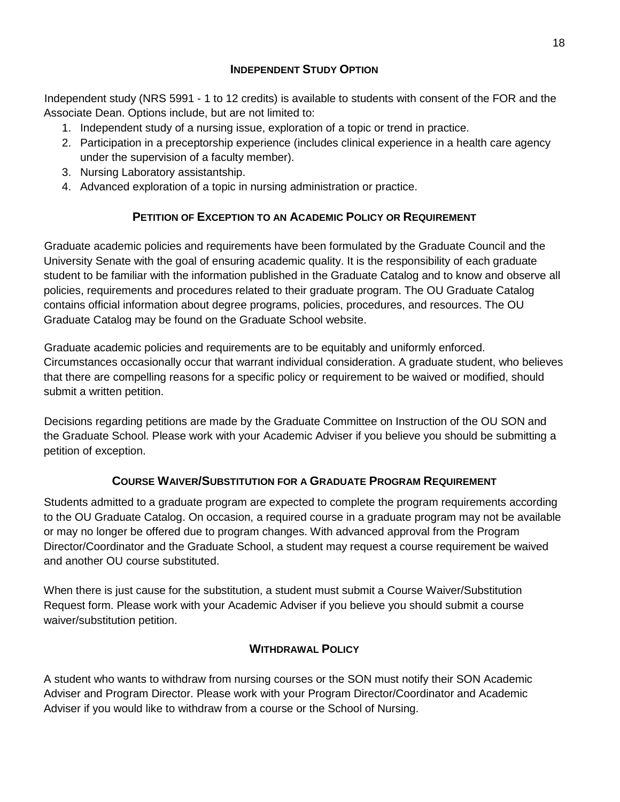# <span id="page-17-0"></span>**I[NDEPENDENT](#page-17-0) STUDY OPTION**

Independent study (NRS 5991 - 1 to 12 credits) is available to students with consent of the FOR and the Associate Dean. Options include, but are not limited to:

- 1. Independent study of a nursing issue, exploration of a topic or trend in practice.
- 2. Participation in a preceptorship experience (includes clinical experience in a health care agency under the supervision of a faculty member).
- 3. Nursing Laboratory assistantship.
- 4. Advanced exploration of a topic in nursing administration or practice.

# <span id="page-17-1"></span>**PETITION OF E[XCEPTION TO AN](#page-17-1) ACADEMIC POLICY OR REQUIREMENT**

Graduate academic policies and requirements have been formulated by the Graduate Council and the University Senate with the goal of ensuring academic quality. It is the responsibility of each graduate student to be familiar with the information published in the Graduate Catalog and to know and observe all policies, requirements and procedures related to their graduate program. The OU Graduate Catalog contains official information about degree programs, policies, procedures, and resources. The OU Graduate Catalog may be found on the Graduate School website.

Graduate academic policies and requirements are to be equitably and uniformly enforced. Circumstances occasionally occur that warrant individual consideration. A graduate student, who believes that there are compelling reasons for a specific policy or requirement to be waived or modified, should submit a written petition.

Decisions regarding petitions are made by the Graduate Committee on Instruction of the OU SON and the Graduate School. Please work with your Academic Adviser if you believe you should be submitting a petition of exception.

# <span id="page-17-2"></span>**COURSE WAIVER/S[UBSTITUTION FOR A](#page-17-2) GRADUATE PROGRAM REQUIREMENT**

Students admitted to a graduate program are expected to complete the program requirements according to the OU Graduate Catalog. On occasion, a required course in a graduate program may not be available or may no longer be offered due to program changes. With advanced approval from the Program Director/Coordinator and the Graduate School, a student may request a course requirement be waived and another OU course substituted.

When there is just cause for the substitution, a student must submit a Course Waiver/Substitution Request form. Please work with your Academic Adviser if you believe you should submit a course waiver/substitution petition.

# <span id="page-17-3"></span>**W[ITHDRAWAL](#page-17-3) POLICY**

<span id="page-17-4"></span>A student who wants to withdraw from nursing courses or the SON must notify their SON Academic Adviser and Program Director. Please work with your Program Director/Coordinator and Academic Adviser if you would like to withdraw from a course or the School of Nursing.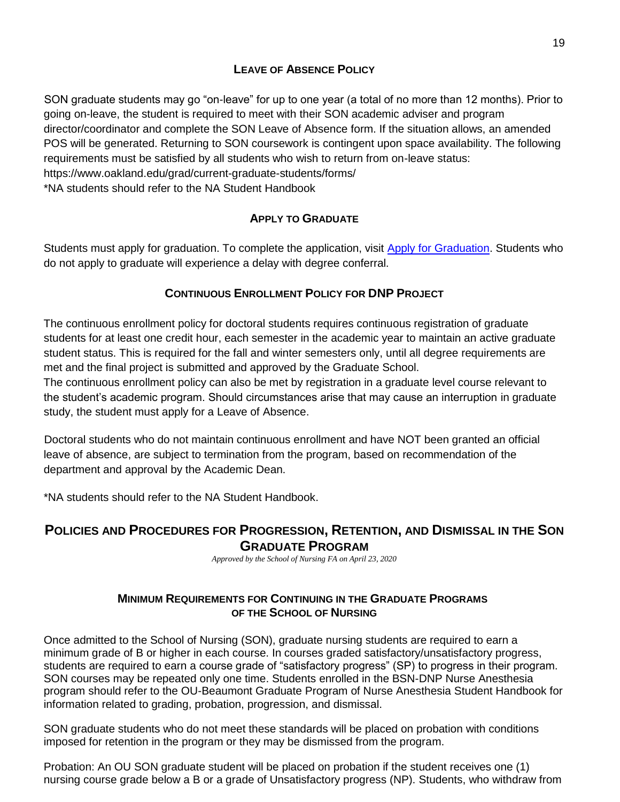# <span id="page-18-0"></span>**L[EAVE OF](#page-17-4) ABSENCE POLICY**

SON graduate students may go "on-leave" for up to one year (a total of no more than 12 months). Prior to going on-leave, the student is required to meet with their SON academic adviser and program director/coordinator and complete the SON Leave of Absence form. If the situation allows, an amended POS will be generated. Returning to SON coursework is contingent upon space availability. The following requirements must be satisfied by all students who wish to return from on-leave status: https://www.oakland.edu/grad/current-graduate-students/forms/ \*NA students should refer to the NA Student Handbook

# <span id="page-18-1"></span>**APPLY TO G[RADUATE](#page-18-1)**

Students must apply for graduation. To complete the application, visit Apply for Graduation. Students who do not apply to graduate will experience a delay with degree conferral.

# <span id="page-18-2"></span>**CONTINUOUS E[NROLLMENT](#page-18-2) POLICY FOR DNP PROJECT**

The continuous enrollment policy for doctoral students requires continuous registration of graduate students for at least one credit hour, each semester in the academic year to maintain an active graduate student status. This is required for the fall and winter semesters only, until all degree requirements are met and the final project is submitted and approved by the Graduate School.

The continuous enrollment policy can also be met by registration in a graduate level course relevant to the student's academic program. Should circumstances arise that may cause an interruption in graduate study, the student must apply for a Leave of Absence.

Doctoral students who do not maintain continuous enrollment and have NOT been granted an official leave of absence, are subject to termination from the program, based on recommendation of the department and approval by the Academic Dean.

\*NA students should refer to the NA Student Handbook.

# <span id="page-18-3"></span>**POLICIES AND PROCEDURES FOR PROGRESSION, RETENTION, AND DISMISSAL IN THE SON GRADUATE PROGRAM**

*Approved by the School of Nursing FA on April 23, 2020*

### **MINIMUM REQUIREMENTS FOR CONTINUING IN THE GRADUATE PROGRAMS OF THE SCHOOL OF NURSING**

<span id="page-18-4"></span>Once admitted to the School of Nursing (SON), graduate nursing students are required to earn a minimum grade of B or higher in each course. In courses graded satisfactory/unsatisfactory progress, students are required to earn a course grade of "satisfactory progress" (SP) to progress in their program. SON courses may be repeated only one time. Students enrolled in the BSN-DNP Nurse Anesthesia program should refer to the OU-Beaumont Graduate Program of Nurse Anesthesia Student Handbook for information related to grading, probation, progression, and dismissal.

SON graduate students who do not meet these standards will be placed on probation with conditions imposed for retention in the program or they may be dismissed from the program.

Probation: An OU SON graduate student will be placed on probation if the student receives one (1) nursing course grade below a B or a grade of Unsatisfactory progress (NP). Students, who withdraw from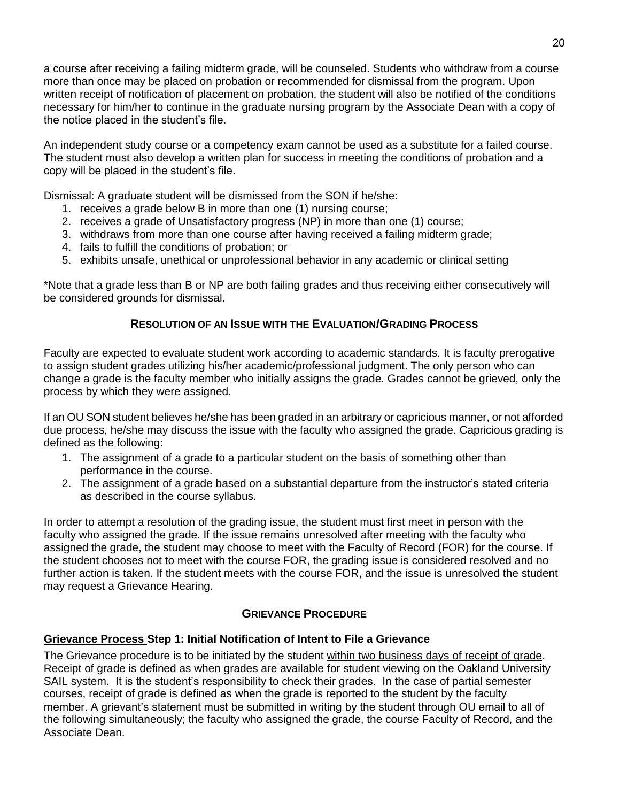a course after receiving a failing midterm grade, will be counseled. Students who withdraw from a course more than once may be placed on probation or recommended for dismissal from the program. Upon written receipt of notification of placement on probation, the student will also be notified of the conditions necessary for him/her to continue in the graduate nursing program by the Associate Dean with a copy of the notice placed in the student's file.

An independent study course or a competency exam cannot be used as a substitute for a failed course. The student must also develop a written plan for success in meeting the conditions of probation and a copy will be placed in the student's file.

Dismissal: A graduate student will be dismissed from the SON if he/she:

- 1. receives a grade below B in more than one (1) nursing course;
- 2. receives a grade of Unsatisfactory progress (NP) in more than one (1) course;
- 3. withdraws from more than one course after having received a failing midterm grade;
- 4. fails to fulfill the conditions of probation; or
- 5. exhibits unsafe, unethical or unprofessional behavior in any academic or clinical setting

\*Note that a grade less than B or NP are both failing grades and thus receiving either consecutively will be considered grounds for dismissal.

#### **RESOLUTION OF AN ISSUE WITH THE EVALUATION/GRADING PROCESS**

<span id="page-19-0"></span>Faculty are expected to evaluate student work according to academic standards. It is faculty prerogative to assign student grades utilizing his/her academic/professional judgment. The only person who can change a grade is the faculty member who initially assigns the grade. Grades cannot be grieved, only the process by which they were assigned.

If an OU SON student believes he/she has been graded in an arbitrary or capricious manner, or not afforded due process, he/she may discuss the issue with the faculty who assigned the grade. Capricious grading is defined as the following:

- 1. The assignment of a grade to a particular student on the basis of something other than performance in the course.
- 2. The assignment of a grade based on a substantial departure from the instructor's stated criteria as described in the course syllabus.

In order to attempt a resolution of the grading issue, the student must first meet in person with the faculty who assigned the grade. If the issue remains unresolved after meeting with the faculty who assigned the grade, the student may choose to meet with the Faculty of Record (FOR) for the course. If the student chooses not to meet with the course FOR, the grading issue is considered resolved and no further action is taken. If the student meets with the course FOR, and the issue is unresolved the student may request a Grievance Hearing.

#### **GRIEVANCE PROCEDURE**

# <span id="page-19-1"></span>**Grievance Process Step 1: Initial Notification of Intent to File a Grievance**

The Grievance procedure is to be initiated by the student within two business days of receipt of grade. Receipt of grade is defined as when grades are available for student viewing on the Oakland University SAIL system. It is the student's responsibility to check their grades. In the case of partial semester courses, receipt of grade is defined as when the grade is reported to the student by the faculty member. A grievant's statement must be submitted in writing by the student through OU email to all of the following simultaneously; the faculty who assigned the grade, the course Faculty of Record, and the Associate Dean.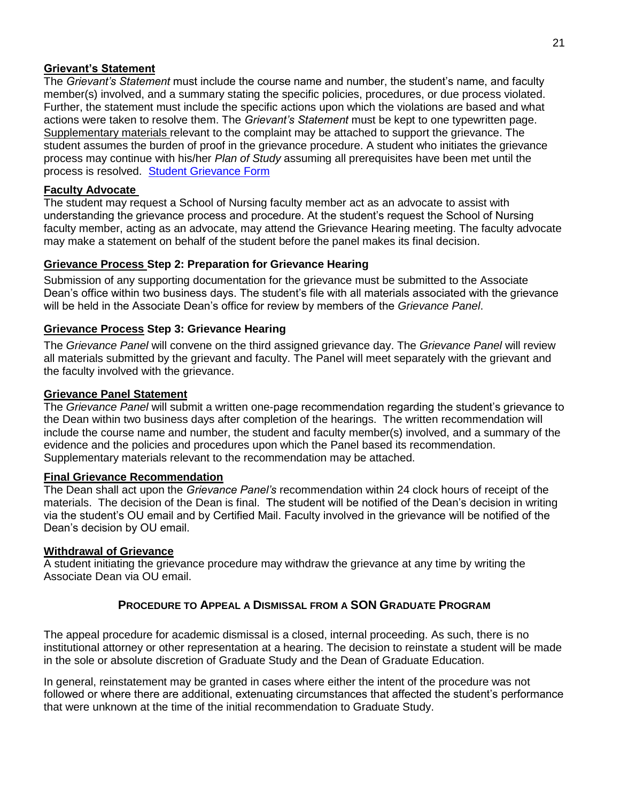#### **Grievant's Statement**

The *Grievant's Statement* must include the course name and number, the student's name, and faculty member(s) involved, and a summary stating the specific policies, procedures, or due process violated. Further, the statement must include the specific actions upon which the violations are based and what actions were taken to resolve them. The *Grievant's Statement* must be kept to one typewritten page. Supplementary materials relevant to the complaint may be attached to support the grievance. The student assumes the burden of proof in the grievance procedure. A student who initiates the grievance process may continue with his/her *Plan of Study* assuming all prerequisites have been met until the process is resolved. [Student Grievance Form](https://www.oakland.edu/nursing/student-resources/forms/)

#### **Faculty Advocate**

The student may request a School of Nursing faculty member act as an advocate to assist with understanding the grievance process and procedure. At the student's request the School of Nursing faculty member, acting as an advocate, may attend the Grievance Hearing meeting. The faculty advocate may make a statement on behalf of the student before the panel makes its final decision.

#### **Grievance Process Step 2: Preparation for Grievance Hearing**

Submission of any supporting documentation for the grievance must be submitted to the Associate Dean's office within two business days. The student's file with all materials associated with the grievance will be held in the Associate Dean's office for review by members of the *Grievance Panel*.

#### **Grievance Process Step 3: Grievance Hearing**

The *Grievance Panel* will convene on the third assigned grievance day. The *Grievance Panel* will review all materials submitted by the grievant and faculty. The Panel will meet separately with the grievant and the faculty involved with the grievance.

#### **Grievance Panel Statement**

The *Grievance Panel* will submit a written one-page recommendation regarding the student's grievance to the Dean within two business days after completion of the hearings. The written recommendation will include the course name and number, the student and faculty member(s) involved, and a summary of the evidence and the policies and procedures upon which the Panel based its recommendation. Supplementary materials relevant to the recommendation may be attached.

#### **Final Grievance Recommendation**

The Dean shall act upon the *Grievance Panel's* recommendation within 24 clock hours of receipt of the materials. The decision of the Dean is final. The student will be notified of the Dean's decision in writing via the student's OU email and by Certified Mail. Faculty involved in the grievance will be notified of the Dean's decision by OU email.

#### **Withdrawal of Grievance**

A student initiating the grievance procedure may withdraw the grievance at any time by writing the Associate Dean via OU email.

#### **PROCEDURE TO APPEAL A DISMISSAL FROM A SON GRADUATE PROGRAM**

<span id="page-20-0"></span>The appeal procedure for academic dismissal is a closed, internal proceeding. As such, there is no institutional attorney or other representation at a hearing. The decision to reinstate a student will be made in the sole or absolute discretion of Graduate Study and the Dean of Graduate Education.

In general, reinstatement may be granted in cases where either the intent of the procedure was not followed or where there are additional, extenuating circumstances that affected the student's performance that were unknown at the time of the initial recommendation to Graduate Study.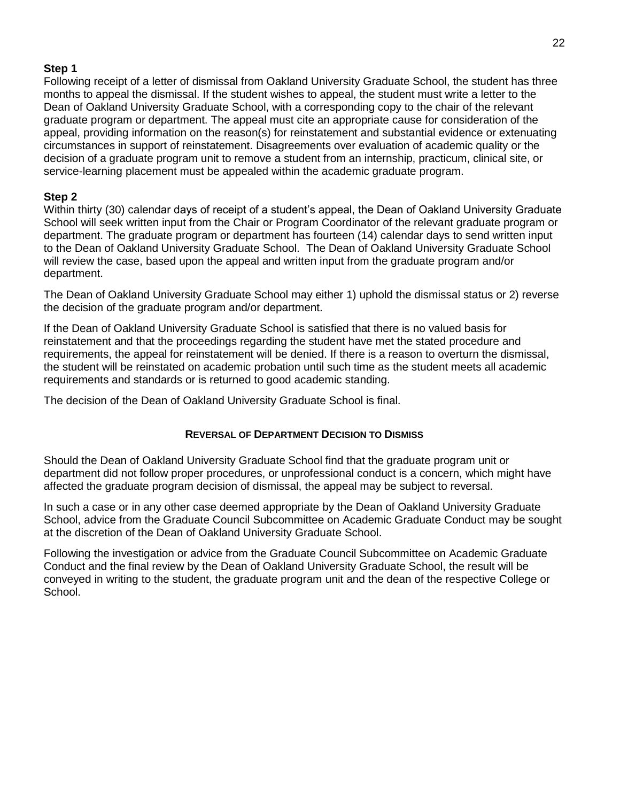### **Step 1**

Following receipt of a letter of dismissal from Oakland University Graduate School, the student has three months to appeal the dismissal. If the student wishes to appeal, the student must write a letter to the Dean of Oakland University Graduate School, with a corresponding copy to the chair of the relevant graduate program or department. The appeal must cite an appropriate cause for consideration of the appeal, providing information on the reason(s) for reinstatement and substantial evidence or extenuating circumstances in support of reinstatement. Disagreements over evaluation of academic quality or the decision of a graduate program unit to remove a student from an internship, practicum, clinical site, or service-learning placement must be appealed within the academic graduate program.

### **Step 2**

Within thirty (30) calendar days of receipt of a student's appeal, the Dean of Oakland University Graduate School will seek written input from the Chair or Program Coordinator of the relevant graduate program or department. The graduate program or department has fourteen (14) calendar days to send written input to the Dean of Oakland University Graduate School. The Dean of Oakland University Graduate School will review the case, based upon the appeal and written input from the graduate program and/or department.

The Dean of Oakland University Graduate School may either 1) uphold the dismissal status or 2) reverse the decision of the graduate program and/or department.

If the Dean of Oakland University Graduate School is satisfied that there is no valued basis for reinstatement and that the proceedings regarding the student have met the stated procedure and requirements, the appeal for reinstatement will be denied. If there is a reason to overturn the dismissal, the student will be reinstated on academic probation until such time as the student meets all academic requirements and standards or is returned to good academic standing.

The decision of the Dean of Oakland University Graduate School is final.

#### **REVERSAL OF DEPARTMENT DECISION TO DISMISS**

<span id="page-21-0"></span>Should the Dean of Oakland University Graduate School find that the graduate program unit or department did not follow proper procedures, or unprofessional conduct is a concern, which might have affected the graduate program decision of dismissal, the appeal may be subject to reversal.

In such a case or in any other case deemed appropriate by the Dean of Oakland University Graduate School, advice from the Graduate Council Subcommittee on Academic Graduate Conduct may be sought at the discretion of the Dean of Oakland University Graduate School.

<span id="page-21-1"></span>Following the investigation or advice from the Graduate Council Subcommittee on Academic Graduate Conduct and the final review by the Dean of Oakland University Graduate School, the result will be conveyed in writing to the student, the graduate program unit and the dean of the respective College or School.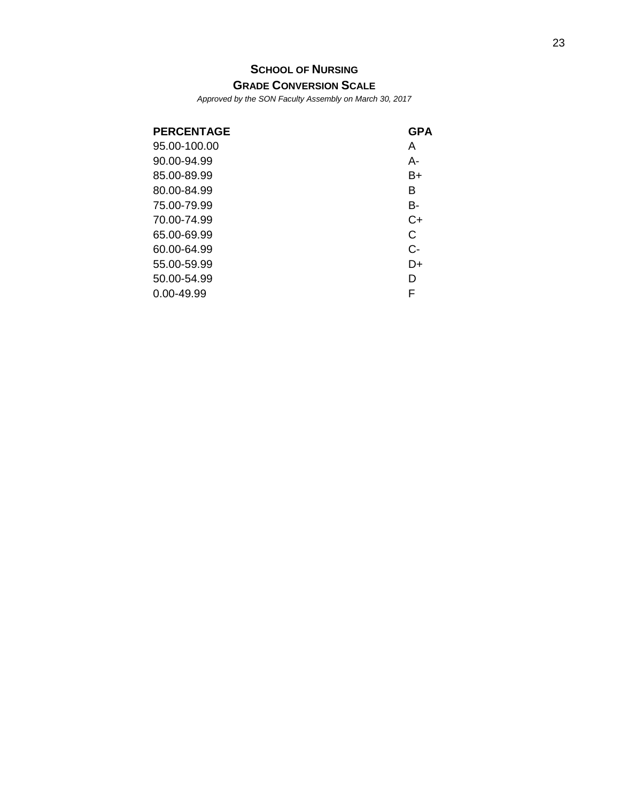# <span id="page-22-0"></span>**S[CHOOL OF](#page-21-1) NURSING**

**GRADE C[ONVERSION](#page-21-1) SCALE**

*Approved by the SON Faculty Assembly on March 30, 2017*

<span id="page-22-2"></span><span id="page-22-1"></span>

| <b>PERCENTAGE</b> | <b>GPA</b> |
|-------------------|------------|
| 95.00-100.00      | A          |
| 90.00-94.99       | А-         |
| 85.00-89.99       | B+         |
| 80.00-84.99       | В          |
| 75.00-79.99       | B-         |
| 70.00-74.99       | $C+$       |
| 65.00-69.99       | C          |
| 60.00-64.99       | $C-$       |
| 55.00-59.99       | D+         |
| 50.00-54.99       | D          |
| 0.00-49.99        | F          |
|                   |            |